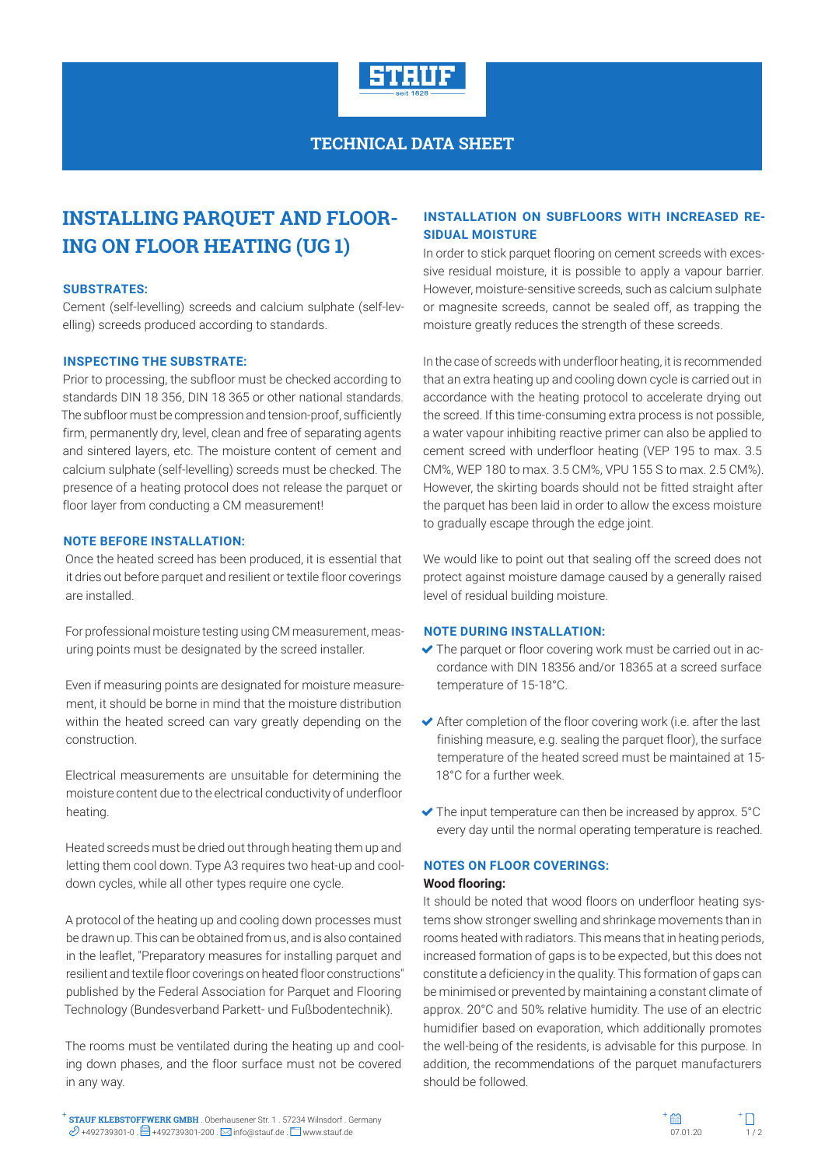

# **INSTALLING PARQUET AND FLOOR-ING ON FLOOR HEATING (UG 1)**

#### **SUBSTRATES:**

Cement (self-levelling) screeds and calcium sulphate (self-levelling) screeds produced according to standards.

#### **INSPECTING THE SUBSTRATE:**

Prior to processing, the subfloor must be checked according to standards DIN 18 356, DIN 18 365 or other national standards. The subfloor must be compression and tension-proof, sufficiently firm, permanently dry, level, clean and free of separating agents and sintered layers, etc. The moisture content of cement and calcium sulphate (self-levelling) screeds must be checked. The presence of a heating protocol does not release the parquet or floor layer from conducting a CM measurement!

#### **NOTE BEFORE INSTALLATION:**

Once the heated screed has been produced, it is essential that it dries out before parquet and resilient or textile floor coverings are installed.

For professional moisture testing using CM measurement, measuring points must be designated by the screed installer.

Even if measuring points are designated for moisture measurement, it should be borne in mind that the moisture distribution within the heated screed can vary greatly depending on the construction.

Electrical measurements are unsuitable for determining the moisture content due to the electrical conductivity of underfloor heating.

Heated screeds must be dried out through heating them up and letting them cool down. Type A3 requires two heat-up and cooldown cycles, while all other types require one cycle.

A protocol of the heating up and cooling down processes must be drawn up. This can be obtained from us, and is also contained in the leaflet, "Preparatory measures for installing parquet and resilient and textile floor coverings on heated floor constructions" published by the Federal Association for Parquet and Flooring Technology (Bundesverband Parkett- und Fußbodentechnik).

The rooms must be ventilated during the heating up and cooling down phases, and the floor surface must not be covered in any way.

## **INSTALLATION ON SUBFLOORS WITH INCREASED RE-SIDUAL MOISTURE**

In order to stick parquet flooring on cement screeds with excessive residual moisture, it is possible to apply a vapour barrier. However, moisture-sensitive screeds, such as calcium sulphate or magnesite screeds, cannot be sealed off, as trapping the moisture greatly reduces the strength of these screeds.

In the case of screeds with underfloor heating, it is recommended that an extra heating up and cooling down cycle is carried out in accordance with the heating protocol to accelerate drying out the screed. If this time-consuming extra process is not possible, a water vapour inhibiting reactive primer can also be applied to cement screed with underfloor heating (VEP 195 to max. 3.5 CM%, WEP 180 to max. 3.5 CM%, VPU 155 S to max. 2.5 CM%). However, the skirting boards should not be fitted straight after the parquet has been laid in order to allow the excess moisture to gradually escape through the edge joint.

We would like to point out that sealing off the screed does not protect against moisture damage caused by a generally raised level of residual building moisture.

#### **NOTE DURING INSTALLATION:**

- $\blacktriangleright$  The parquet or floor covering work must be carried out in accordance with DIN 18356 and/or 18365 at a screed surface temperature of 15-18°C.
- $\blacktriangleright$  After completion of the floor covering work (i.e. after the last finishing measure, e.g. sealing the parquet floor), the surface temperature of the heated screed must be maintained at 15- 18°C for a further week.
- $\blacktriangleright$  The input temperature can then be increased by approx.  $5^{\circ}$ C every day until the normal operating temperature is reached.

#### **NOTES ON FLOOR COVERINGS:**

#### **Wood flooring:**

It should be noted that wood floors on underfloor heating systems show stronger swelling and shrinkage movements than in rooms heated with radiators. This means that in heating periods, increased formation of gaps is to be expected, but this does not constitute a deficiency in the quality. This formation of gaps can be minimised or prevented by maintaining a constant climate of approx. 20°C and 50% relative humidity. The use of an electric humidifier based on evaporation, which additionally promotes the well-being of the residents, is advisable for this purpose. In addition, the recommendations of the parquet manufacturers should be followed.

**STAUF KLEBSTOFFWERK GMBH** . Oberhausener Str. 1 . 57234 Wilnsdorf . Germany **STAUF KLEBSTOFFWERK GMBH** . Oberhausener Str. 1 . 57234 Wilnsdorf . Germany  $\mathscr{D}$  +492739301-0 .  $\Box$  +492739301-200 .  $\boxtimes$  info@stauf.de .  $\Box$  www.stauf.de .  $\Box$  www.stauf.de .  $\Box$  . 1 / 2